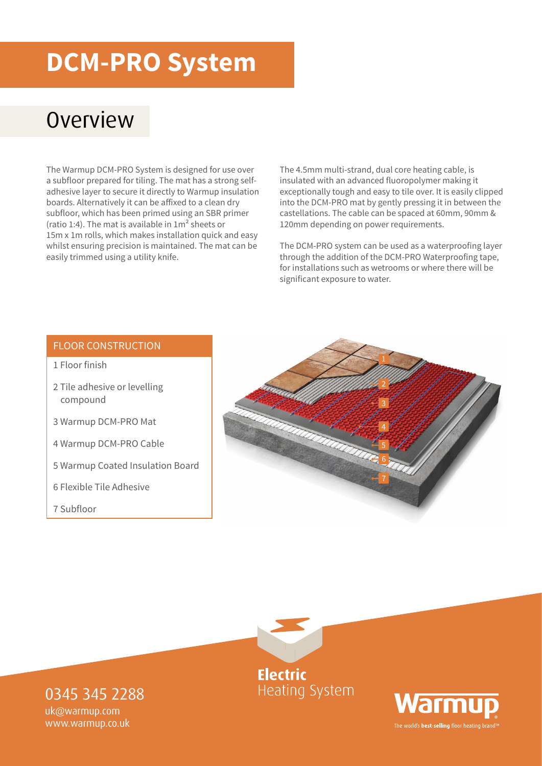## **DCM-PRO System**

#### **Overview**

The Warmup DCM-PRO System is designed for use over a subfloor prepared for tiling. The mat has a strong selfadhesive layer to secure it directly to Warmup insulation boards. Alternatively it can be affixed to a clean dry subfloor, which has been primed using an SBR primer (ratio 1:4). The mat is available in 1m² sheets or 15m x 1m rolls, which makes installation quick and easy whilst ensuring precision is maintained. The mat can be easily trimmed using a utility knife.

The 4.5mm multi-strand, dual core heating cable, is insulated with an advanced fluoropolymer making it exceptionally tough and easy to tile over. It is easily clipped into the DCM-PRO mat by gently pressing it in between the castellations. The cable can be spaced at 60mm, 90mm & 120mm depending on power requirements.

The DCM-PRO system can be used as a waterproofing layer through the addition of the DCM-PRO Waterproofing tape, for installations such as wetrooms or where there will be significant exposure to water.

#### FLOOR CONSTRUCTION

- 1 Floor finish
- 2 Tile adhesive or levelling compound
- 3 Warmup DCM-PRO Mat
- 4 Warmup DCM-PRO Cable
- 5 Warmup Coated Insulation Board
- 6 Flexible Tile Adhesive
- 7 Subfloor





**Heating System** 



0345 345 2288 uk@warmup.com

www.warmup.co.uk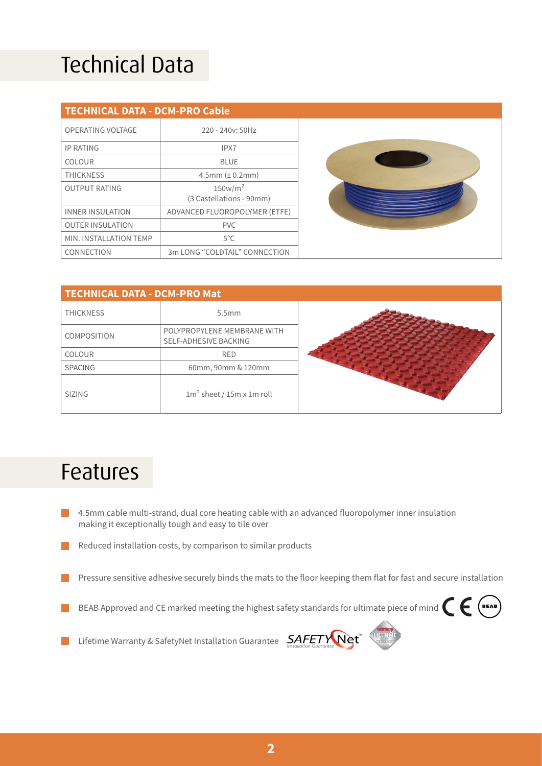## Technical Data

| <b>TECHNICAL DATA - DCM-PRO Cable</b> |                                                 |  |  |  |
|---------------------------------------|-------------------------------------------------|--|--|--|
| OPERATING VOLTAGE                     | 220 - 240y: 50Hz                                |  |  |  |
| <b>IP RATING</b>                      | IPX7                                            |  |  |  |
| COLOUR                                | <b>BLUE</b>                                     |  |  |  |
| <b>THICKNESS</b>                      | $4.5$ mm ( $\pm$ 0.2mm)                         |  |  |  |
| <b>OUTPUT RATING</b>                  | 150w/m <sup>2</sup><br>(3 Castellations - 90mm) |  |  |  |
| <b>INNER INSULATION</b>               | ADVANCED FLUOROPOLYMER (ETFE)                   |  |  |  |
| <b>OUTER INSULATION</b>               | <b>PVC</b>                                      |  |  |  |
| MIN. INSTALLATION TEMP                | $5^{\circ}$ C                                   |  |  |  |
| CONNECTION                            | 3m LONG "COLDTAIL" CONNECTION                   |  |  |  |

| <b>TECHNICAL DATA - DCM-PRO Mat</b> |                                                      |  |
|-------------------------------------|------------------------------------------------------|--|
| <b>THICKNESS</b>                    | 5.5mm                                                |  |
| <b>COMPOSITION</b>                  | POLYPROPYLENE MEMBRANE WITH<br>SELF-ADHESIVE BACKING |  |
| <b>COLOUR</b>                       | <b>RED</b>                                           |  |
| <b>SPACING</b>                      | 60mm, 90mm & 120mm                                   |  |
| <b>SIZING</b>                       | $1m2$ sheet / 15m x 1m roll                          |  |

#### Features

- 4.5mm cable multi-strand, dual core heating cable with an advanced fluoropolymer inner insulation  $\mathcal{L}^{\text{max}}$ making it exceptionally tough and easy to tile over
- $\sim$ Reduced installation costs, by comparison to similar products
- Pressure sensitive adhesive securely binds the mats to the floor keeping them flat for fast and secure installation **College**
- BEAB Approved and CE marked meeting the highest safety standards for ultimate piece of mind l I
- Lifetime Warranty & SafetyNet Installation Guarantee  $S_{\text{Installation-Guationedness}} \mathbf{Net}^{\mathsf{t}}$  $\blacksquare$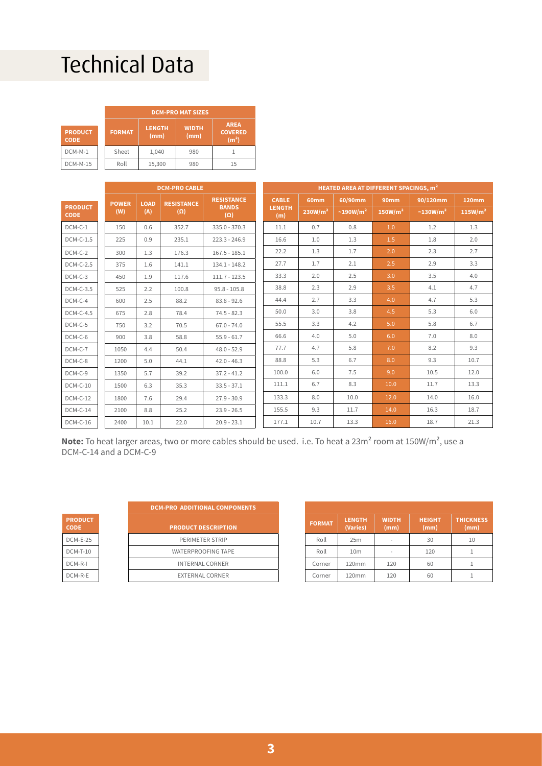## Technical Data

|                               |  | <b>DCM-PRO MAT SIZES</b>               |        |                      |                                                    |  |
|-------------------------------|--|----------------------------------------|--------|----------------------|----------------------------------------------------|--|
| <b>PRODUCT</b><br><b>CODE</b> |  | <b>LENGTH</b><br><b>FORMAT</b><br>(mm) |        | <b>WIDTH</b><br>(mm) | <b>AREA</b><br><b>COVERED</b><br>(m <sup>2</sup> ) |  |
| DCM-M-1                       |  | Sheet                                  | 1.040  | 980                  |                                                    |  |
| <b>DCM-M-15</b>               |  | Roll                                   | 15,300 | 980                  | 15                                                 |  |

|                               | <b>DCM-PRO CABLE</b> |              |             | <b>HEATED AREA AT DIFFERENT SPACINGS, m<sup>2</sup></b> |                            |  |                      |                     |                            |                     |                            |                     |
|-------------------------------|----------------------|--------------|-------------|---------------------------------------------------------|----------------------------|--|----------------------|---------------------|----------------------------|---------------------|----------------------------|---------------------|
|                               |                      | <b>POWER</b> | <b>LOAD</b> | <b>RESISTANCE</b>                                       | <b>RESISTANCE</b>          |  | <b>CABLE</b>         | 60mm                | 60/90mm                    | <b>90mm</b>         | 90/120mm                   | 120mm               |
| <b>PRODUCT</b><br><b>CODE</b> |                      | (W)          | (A)         | $(\Omega)$                                              | <b>BANDS</b><br>$(\Omega)$ |  | <b>LENGTH</b><br>(m) | 230W/m <sup>2</sup> | $\sim$ 190W/m <sup>2</sup> | 150W/m <sup>2</sup> | $\sim$ 130W/m <sup>2</sup> | 115W/m <sup>2</sup> |
| DCM-C-1                       |                      | 150          | 0.6         | 352.7                                                   | $335.0 - 370.3$            |  | 11.1                 | 0.7                 | 0.8                        | 1.0                 | 1.2                        | 1.3                 |
| $DCM-C-1.5$                   |                      | 225          | 0.9         | 235.1                                                   | $223.3 - 246.9$            |  | 16.6                 | 1.0                 | 1.3                        | 1.5                 | 1.8                        | 2.0                 |
| DCM-C-2                       |                      | 300          | 1.3         | 176.3                                                   | $167.5 - 185.1$            |  | 22.2                 | 1.3                 | 1.7                        | 2.0                 | 2.3                        | 2.7                 |
| <b>DCM-C-2.5</b>              |                      | 375          | 1.6         | 141.1                                                   | $134.1 - 148.2$            |  | 27.7                 | 1.7                 | 2.1                        | 2.5                 | 2.9                        | 3.3                 |
| DCM-C-3                       |                      | 450          | 1.9         | 117.6                                                   | $111.7 - 123.5$            |  | 33.3                 | 2.0                 | 2.5                        | 3.0                 | 3.5                        | 4.0                 |
| DCM-C-3.5                     |                      | 525          | 2.2         | 100.8                                                   | $95.8 - 105.8$             |  | 38.8                 | 2.3                 | 2.9                        | 3.5                 | 4.1                        | 4.7                 |
| DCM-C-4                       |                      | 600          | 2.5         | 88.2                                                    | $83.8 - 92.6$              |  | 44.4                 | 2.7                 | 3.3                        | 4.0                 | 4.7                        | 5.3                 |
| DCM-C-4.5                     |                      | 675          | 2.8         | 78.4                                                    | $74.5 - 82.3$              |  | 50.0                 | 3.0                 | 3.8                        | 4.5                 | 5.3                        | 6.0                 |
| DCM-C-5                       |                      | 750          | 3.2         | 70.5                                                    | $67.0 - 74.0$              |  | 55.5                 | 3.3                 | 4.2                        | 5.0                 | 5.8                        | 6.7                 |
| DCM-C-6                       |                      | 900          | 3.8         | 58.8                                                    | $55.9 - 61.7$              |  | 66.6                 | 4.0                 | 5.0                        | 6.0                 | 7.0                        | 8.0                 |
| DCM-C-7                       |                      | 1050         | 4.4         | 50.4                                                    | $48.0 - 52.9$              |  | 77.7                 | 4.7                 | 5.8                        | 7.0                 | 8.2                        | 9.3                 |
| DCM-C-8                       |                      | 1200         | 5.0         | 44.1                                                    | $42.0 - 46.3$              |  | 88.8                 | 5.3                 | 6.7                        | 8.0                 | 9.3                        | 10.7                |
| DCM-C-9                       |                      | 1350         | 5.7         | 39.2                                                    | $37.2 - 41.2$              |  | 100.0                | 6.0                 | 7.5                        | 9.0                 | 10.5                       | 12.0                |
| $DCM-C-10$                    |                      | 1500         | 6.3         | 35.3                                                    | $33.5 - 37.1$              |  | 111.1                | 6.7                 | 8.3                        | 10.0                | 11.7                       | 13.3                |
| $DCM-C-12$                    |                      | 1800         | 7.6         | 29.4                                                    | $27.9 - 30.9$              |  | 133.3                | 8.0                 | 10.0                       | 12.0                | 14.0                       | 16.0                |
| $DCM-C-14$                    |                      | 2100         | 8.8         | 25.2                                                    | $23.9 - 26.5$              |  | 155.5                | 9.3                 | 11.7                       | 14.0                | 16.3                       | 18.7                |
| $DCM-C-16$                    |                      | 2400         | 10.1        | 22.0                                                    | $20.9 - 23.1$              |  | 177.1                | 10.7                | 13.3                       | 16.0                | 18.7                       | 21.3                |

Note: To heat larger areas, two or more cables should be used. i.e. To heat a 23m<sup>2</sup> room at 150W/m<sup>2</sup>, use a DCM-C-14 and a DCM-C-9

| <b>PRODUCT</b><br>CODE |
|------------------------|
| <b>DCM-E-25</b>        |
| DCM-T-10               |
| DCM-R-I                |
| DCM-R-E                |

| <b>DCM-PRO ADDITIONAL COMPONENTS</b> |  |  |  |  |  |
|--------------------------------------|--|--|--|--|--|
| <b>PRODUCT DESCRIPTION</b>           |  |  |  |  |  |
| PERIMETER STRIP                      |  |  |  |  |  |
| <b>WATERPROOFING TAPE</b>            |  |  |  |  |  |
| <b>INTERNAL CORNER</b>               |  |  |  |  |  |
| <b>EXTERNAL CORNER</b>               |  |  |  |  |  |

| <b>FORMAT</b> | <b>LENGTH</b><br>(Varies) | <b>WIDTH</b><br>(mm) | <b>HEIGHT</b><br>(mm) | <b>THICKNESS</b><br>(mm) |
|---------------|---------------------------|----------------------|-----------------------|--------------------------|
| Roll          | 25m                       |                      | 30                    | 10                       |
| Roll          | 10 <sub>m</sub>           |                      | 120                   |                          |
| Corner        | 120mm                     | 120                  | 60                    |                          |
| Corner        | 120mm                     | 120                  | 60                    |                          |